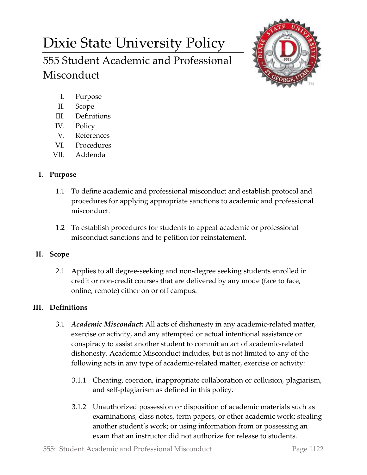# Dixie State University Policy 555 Student Academic and Professional



- I. Purpose
- II. Scope

Misconduct

- III. Definitions
- IV. Policy
- V. References
- VI. Procedures
- VII. Addenda

# **I. Purpose**

- 1.1 To define academic and professional misconduct and establish protocol and procedures for applying appropriate sanctions to academic and professional misconduct.
- 1.2 To establish procedures for students to appeal academic or professional misconduct sanctions and to petition for reinstatement.

## **II. Scope**

2.1 Applies to all degree-seeking and non-degree seeking students enrolled in credit or non-credit courses that are delivered by any mode (face to face, online, remote) either on or off campus.

## **III. Definitions**

- 3.1 *Academic Misconduct:* All acts of dishonesty in any academic-related matter, exercise or activity, and any attempted or actual intentional assistance or conspiracy to assist another student to commit an act of academic-related dishonesty. Academic Misconduct includes, but is not limited to any of the following acts in any type of academic-related matter, exercise or activity:
	- 3.1.1 Cheating, coercion, inappropriate collaboration or collusion, plagiarism, and self-plagiarism as defined in this policy.
	- 3.1.2 Unauthorized possession or disposition of academic materials such as examinations, class notes, term papers, or other academic work; stealing another student's work; or using information from or possessing an exam that an instructor did not authorize for release to students.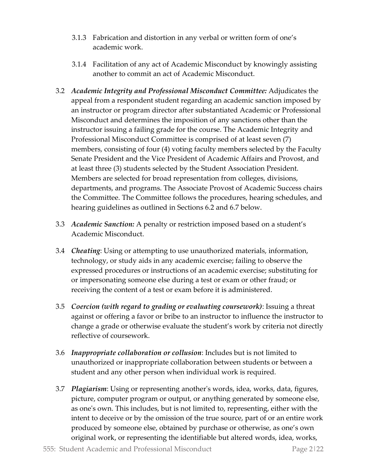- 3.1.3 Fabrication and distortion in any verbal or written form of one's academic work.
- 3.1.4 Facilitation of any act of Academic Misconduct by knowingly assisting another to commit an act of Academic Misconduct.
- 3.2 *Academic Integrity and Professional Misconduct Committee:* Adjudicates the appeal from a respondent student regarding an academic sanction imposed by an instructor or program director after substantiated Academic or Professional Misconduct and determines the imposition of any sanctions other than the instructor issuing a failing grade for the course. The Academic Integrity and Professional Misconduct Committee is comprised of at least seven (7) members, consisting of four (4) voting faculty members selected by the Faculty Senate President and the Vice President of Academic Affairs and Provost, and at least three (3) students selected by the Student Association President. Members are selected for broad representation from colleges, divisions, departments, and programs. The Associate Provost of Academic Success chairs the Committee. The Committee follows the procedures, hearing schedules, and hearing guidelines as outlined in Sections 6.2 and 6.7 below.
- 3.3 *Academic Sanction:* A penalty or restriction imposed based on a student's Academic Misconduct.
- 3.4 *Cheating*: Using or attempting to use unauthorized materials, information, technology, or study aids in any academic exercise; failing to observe the expressed procedures or instructions of an academic exercise; substituting for or impersonating someone else during a test or exam or other fraud; or receiving the content of a test or exam before it is administered.
- 3.5 *Coercion (with regard to grading or evaluating coursework)*: Issuing a threat against or offering a favor or bribe to an instructor to influence the instructor to change a grade or otherwise evaluate the student's work by criteria not directly reflective of coursework.
- 3.6 *Inappropriate collaboration or collusion*: Includes but is not limited to unauthorized or inappropriate collaboration between students or between a student and any other person when individual work is required.
- 3.7 *Plagiarism*: Using or representing another's words, idea, works, data, figures, picture, computer program or output, or anything generated by someone else, as one's own. This includes, but is not limited to, representing, either with the intent to deceive or by the omission of the true source, part of or an entire work produced by someone else, obtained by purchase or otherwise, as one's own original work, or representing the identifiable but altered words, idea, works,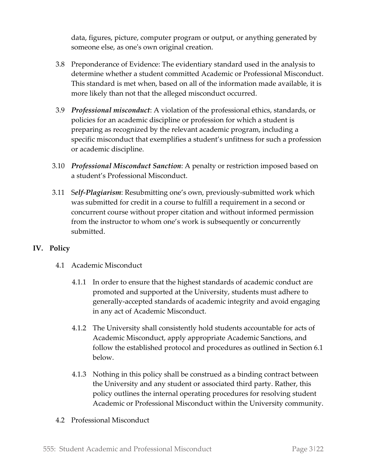data, figures, picture, computer program or output, or anything generated by someone else, as one's own original creation.

- 3.8 Preponderance of Evidence: The evidentiary standard used in the analysis to determine whether a student committed Academic or Professional Misconduct. This standard is met when, based on all of the information made available, it is more likely than not that the alleged misconduct occurred.
- 3.9 *Professional misconduct*: A violation of the professional ethics, standards, or policies for an academic discipline or profession for which a student is preparing as recognized by the relevant academic program, including a specific misconduct that exemplifies a student's unfitness for such a profession or academic discipline.
- 3.10 *Professional Misconduct Sanction*: A penalty or restriction imposed based on a student's Professional Misconduct.
- 3.11 S*elf-Plagiarism*: Resubmitting one's own, previously-submitted work which was submitted for credit in a course to fulfill a requirement in a second or concurrent course without proper citation and without informed permission from the instructor to whom one's work is subsequently or concurrently submitted.

## **IV. Policy**

- 4.1 Academic Misconduct
	- 4.1.1 In order to ensure that the highest standards of academic conduct are promoted and supported at the University, students must adhere to generally-accepted standards of academic integrity and avoid engaging in any act of Academic Misconduct.
	- 4.1.2 The University shall consistently hold students accountable for acts of Academic Misconduct, apply appropriate Academic Sanctions, and follow the established protocol and procedures as outlined in Section 6.1 below.
	- 4.1.3 Nothing in this policy shall be construed as a binding contract between the University and any student or associated third party. Rather, this policy outlines the internal operating procedures for resolving student Academic or Professional Misconduct within the University community.
- 4.2 Professional Misconduct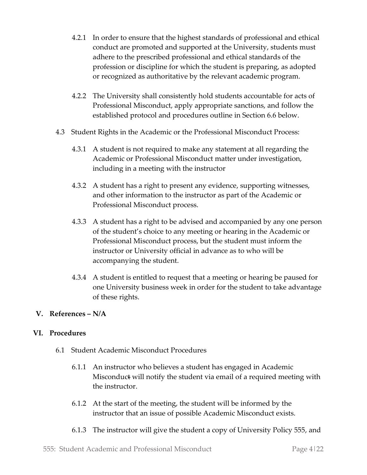- 4.2.1 In order to ensure that the highest standards of professional and ethical conduct are promoted and supported at the University, students must adhere to the prescribed professional and ethical standards of the profession or discipline for which the student is preparing, as adopted or recognized as authoritative by the relevant academic program.
- 4.2.2 The University shall consistently hold students accountable for acts of Professional Misconduct, apply appropriate sanctions, and follow the established protocol and procedures outline in Section 6.6 below.
- 4.3 Student Rights in the Academic or the Professional Misconduct Process:
	- 4.3.1 A student is not required to make any statement at all regarding the Academic or Professional Misconduct matter under investigation, including in a meeting with the instructor
	- 4.3.2 A student has a right to present any evidence, supporting witnesses, and other information to the instructor as part of the Academic or Professional Misconduct process.
	- 4.3.3 A student has a right to be advised and accompanied by any one person of the student's choice to any meeting or hearing in the Academic or Professional Misconduct process, but the student must inform the instructor or University official in advance as to who will be accompanying the student.
	- 4.3.4 A student is entitled to request that a meeting or hearing be paused for one University business week in order for the student to take advantage of these rights.

#### **V. References – N/A**

## **VI. Procedures**

- 6.1 Student Academic Misconduct Procedures
	- 6.1.1 An instructor who believes a student has engaged in Academic Misconduct will notify the student via email of a required meeting with the instructor.
	- 6.1.2 At the start of the meeting, the student will be informed by the instructor that an issue of possible Academic Misconduct exists.
	- 6.1.3 The instructor will give the student a copy of University Policy 555, and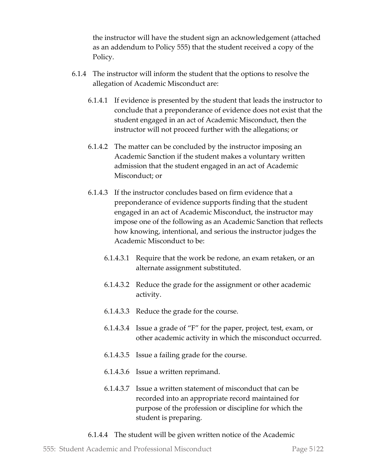the instructor will have the student sign an acknowledgement (attached as an addendum to Policy 555) that the student received a copy of the Policy.

- 6.1.4 The instructor will inform the student that the options to resolve the allegation of Academic Misconduct are:
	- 6.1.4.1 If evidence is presented by the student that leads the instructor to conclude that a preponderance of evidence does not exist that the student engaged in an act of Academic Misconduct, then the instructor will not proceed further with the allegations; or
	- 6.1.4.2 The matter can be concluded by the instructor imposing an Academic Sanction if the student makes a voluntary written admission that the student engaged in an act of Academic Misconduct; or
	- 6.1.4.3 If the instructor concludes based on firm evidence that a preponderance of evidence supports finding that the student engaged in an act of Academic Misconduct, the instructor may impose one of the following as an Academic Sanction that reflects how knowing, intentional, and serious the instructor judges the Academic Misconduct to be:
		- 6.1.4.3.1 Require that the work be redone, an exam retaken, or an alternate assignment substituted.
		- 6.1.4.3.2 Reduce the grade for the assignment or other academic activity.
		- 6.1.4.3.3 Reduce the grade for the course.
		- 6.1.4.3.4 Issue a grade of "F" for the paper, project, test, exam, or other academic activity in which the misconduct occurred.
		- 6.1.4.3.5 Issue a failing grade for the course.
		- 6.1.4.3.6 Issue a written reprimand.
		- 6.1.4.3.7 Issue a written statement of misconduct that can be recorded into an appropriate record maintained for purpose of the profession or discipline for which the student is preparing.
	- 6.1.4.4 The student will be given written notice of the Academic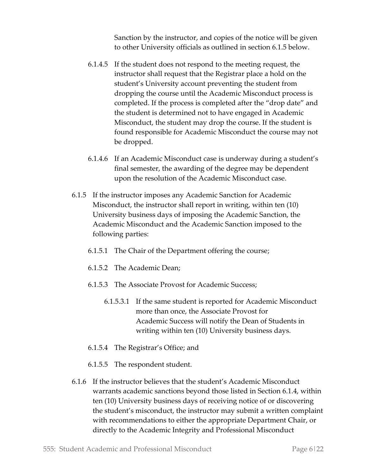Sanction by the instructor, and copies of the notice will be given to other University officials as outlined in section 6.1.5 below.

- 6.1.4.5 If the student does not respond to the meeting request, the instructor shall request that the Registrar place a hold on the student's University account preventing the student from dropping the course until the Academic Misconduct process is completed. If the process is completed after the "drop date" and the student is determined not to have engaged in Academic Misconduct, the student may drop the course. If the student is found responsible for Academic Misconduct the course may not be dropped.
- 6.1.4.6 If an Academic Misconduct case is underway during a student's final semester, the awarding of the degree may be dependent upon the resolution of the Academic Misconduct case.
- 6.1.5 If the instructor imposes any Academic Sanction for Academic Misconduct, the instructor shall report in writing, within ten (10) University business days of imposing the Academic Sanction, the Academic Misconduct and the Academic Sanction imposed to the following parties:
	- 6.1.5.1 The Chair of the Department offering the course;
	- 6.1.5.2 The Academic Dean;
	- 6.1.5.3 The Associate Provost for Academic Success;
		- 6.1.5.3.1 If the same student is reported for Academic Misconduct more than once, the Associate Provost for Academic Success will notify the Dean of Students in writing within ten (10) University business days.
	- 6.1.5.4 The Registrar's Office; and
	- 6.1.5.5 The respondent student.
- 6.1.6 If the instructor believes that the student's Academic Misconduct warrants academic sanctions beyond those listed in Section 6.1.4, within ten (10) University business days of receiving notice of or discovering the student's misconduct, the instructor may submit a written complaint with recommendations to either the appropriate Department Chair, or directly to the Academic Integrity and Professional Misconduct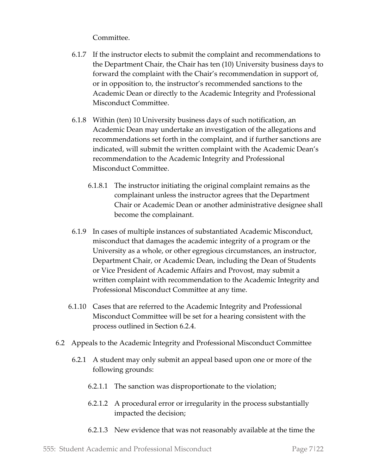Committee.

- 6.1.7 If the instructor elects to submit the complaint and recommendations to the Department Chair, the Chair has ten (10) University business days to forward the complaint with the Chair's recommendation in support of, or in opposition to, the instructor's recommended sanctions to the Academic Dean or directly to the Academic Integrity and Professional Misconduct Committee.
- 6.1.8 Within (ten) 10 University business days of such notification, an Academic Dean may undertake an investigation of the allegations and recommendations set forth in the complaint, and if further sanctions are indicated, will submit the written complaint with the Academic Dean's recommendation to the Academic Integrity and Professional Misconduct Committee.
	- 6.1.8.1 The instructor initiating the original complaint remains as the complainant unless the instructor agrees that the Department Chair or Academic Dean or another administrative designee shall become the complainant.
- 6.1.9 In cases of multiple instances of substantiated Academic Misconduct, misconduct that damages the academic integrity of a program or the University as a whole, or other egregious circumstances, an instructor, Department Chair, or Academic Dean, including the Dean of Students or Vice President of Academic Affairs and Provost, may submit a written complaint with recommendation to the Academic Integrity and Professional Misconduct Committee at any time.
- 6.1.10 Cases that are referred to the Academic Integrity and Professional Misconduct Committee will be set for a hearing consistent with the process outlined in Section 6.2.4.
- 6.2 Appeals to the Academic Integrity and Professional Misconduct Committee
	- 6.2.1 A student may only submit an appeal based upon one or more of the following grounds:
		- 6.2.1.1 The sanction was disproportionate to the violation;
		- 6.2.1.2 A procedural error or irregularity in the process substantially impacted the decision;
		- 6.2.1.3 New evidence that was not reasonably available at the time the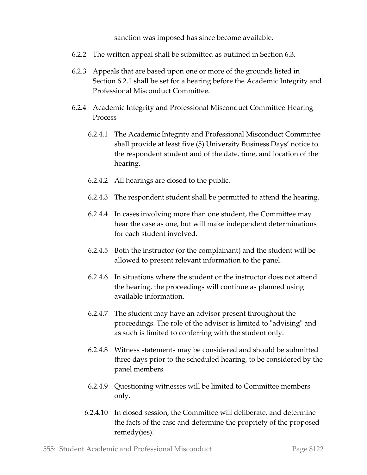sanction was imposed has since become available.

- 6.2.2 The written appeal shall be submitted as outlined in Section 6.3.
- 6.2.3 Appeals that are based upon one or more of the grounds listed in Section 6.2.1 shall be set for a hearing before the Academic Integrity and Professional Misconduct Committee.
- 6.2.4 Academic Integrity and Professional Misconduct Committee Hearing Process
	- 6.2.4.1 The Academic Integrity and Professional Misconduct Committee shall provide at least five (5) University Business Days' notice to the respondent student and of the date, time, and location of the hearing.
	- 6.2.4.2 All hearings are closed to the public.
	- 6.2.4.3 The respondent student shall be permitted to attend the hearing.
	- 6.2.4.4 In cases involving more than one student, the Committee may hear the case as one, but will make independent determinations for each student involved.
	- 6.2.4.5 Both the instructor (or the complainant) and the student will be allowed to present relevant information to the panel.
	- 6.2.4.6 In situations where the student or the instructor does not attend the hearing, the proceedings will continue as planned using available information.
	- 6.2.4.7 The student may have an advisor present throughout the proceedings. The role of the advisor is limited to "advising" and as such is limited to conferring with the student only.
	- 6.2.4.8 Witness statements may be considered and should be submitted three days prior to the scheduled hearing, to be considered by the panel members.
	- 6.2.4.9 Questioning witnesses will be limited to Committee members only.
	- 6.2.4.10 In closed session, the Committee will deliberate, and determine the facts of the case and determine the propriety of the proposed remedy(ies).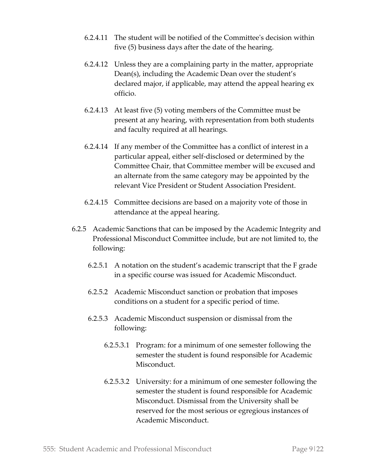- 6.2.4.11 The student will be notified of the Committee's decision within five (5) business days after the date of the hearing.
- 6.2.4.12 Unless they are a complaining party in the matter, appropriate Dean(s), including the Academic Dean over the student's declared major, if applicable, may attend the appeal hearing ex officio.
- 6.2.4.13 At least five (5) voting members of the Committee must be present at any hearing, with representation from both students and faculty required at all hearings.
- 6.2.4.14 If any member of the Committee has a conflict of interest in a particular appeal, either self-disclosed or determined by the Committee Chair, that Committee member will be excused and an alternate from the same category may be appointed by the relevant Vice President or Student Association President.
- 6.2.4.15 Committee decisions are based on a majority vote of those in attendance at the appeal hearing.
- 6.2.5 Academic Sanctions that can be imposed by the Academic Integrity and Professional Misconduct Committee include, but are not limited to, the following:
	- 6.2.5.1 A notation on the student's academic transcript that the F grade in a specific course was issued for Academic Misconduct.
	- 6.2.5.2 Academic Misconduct sanction or probation that imposes conditions on a student for a specific period of time.
	- 6.2.5.3 Academic Misconduct suspension or dismissal from the following:
		- 6.2.5.3.1 Program: for a minimum of one semester following the semester the student is found responsible for Academic Misconduct.
		- 6.2.5.3.2 University: for a minimum of one semester following the semester the student is found responsible for Academic Misconduct. Dismissal from the University shall be reserved for the most serious or egregious instances of Academic Misconduct.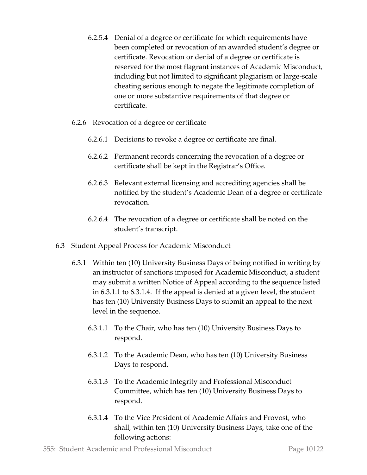- 6.2.5.4 Denial of a degree or certificate for which requirements have been completed or revocation of an awarded student's degree or certificate. Revocation or denial of a degree or certificate is reserved for the most flagrant instances of Academic Misconduct, including but not limited to significant plagiarism or large-scale cheating serious enough to negate the legitimate completion of one or more substantive requirements of that degree or certificate.
- 6.2.6 Revocation of a degree or certificate
	- 6.2.6.1 Decisions to revoke a degree or certificate are final.
	- 6.2.6.2 Permanent records concerning the revocation of a degree or certificate shall be kept in the Registrar's Office.
	- 6.2.6.3 Relevant external licensing and accrediting agencies shall be notified by the student's Academic Dean of a degree or certificate revocation.
	- 6.2.6.4 The revocation of a degree or certificate shall be noted on the student's transcript.
- 6.3 Student Appeal Process for Academic Misconduct
	- 6.3.1 Within ten (10) University Business Days of being notified in writing by an instructor of sanctions imposed for Academic Misconduct, a student may submit a written Notice of Appeal according to the sequence listed in 6.3.1.1 to 6.3.1.4. If the appeal is denied at a given level, the student has ten (10) University Business Days to submit an appeal to the next level in the sequence.
		- 6.3.1.1 To the Chair, who has ten (10) University Business Days to respond.
		- 6.3.1.2 To the Academic Dean, who has ten (10) University Business Days to respond.
		- 6.3.1.3 To the Academic Integrity and Professional Misconduct Committee, which has ten (10) University Business Days to respond.
		- 6.3.1.4 To the Vice President of Academic Affairs and Provost, who shall, within ten (10) University Business Days, take one of the following actions: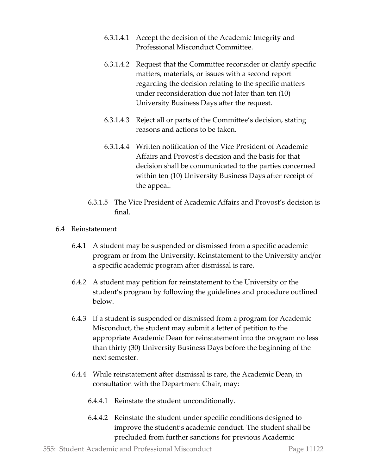- 6.3.1.4.1 Accept the decision of the Academic Integrity and Professional Misconduct Committee.
- 6.3.1.4.2 Request that the Committee reconsider or clarify specific matters, materials, or issues with a second report regarding the decision relating to the specific matters under reconsideration due not later than ten (10) University Business Days after the request.
- 6.3.1.4.3 Reject all or parts of the Committee's decision, stating reasons and actions to be taken.
- 6.3.1.4.4 Written notification of the Vice President of Academic Affairs and Provost's decision and the basis for that decision shall be communicated to the parties concerned within ten (10) University Business Days after receipt of the appeal.
- 6.3.1.5 The Vice President of Academic Affairs and Provost's decision is final.
- 6.4 Reinstatement
	- 6.4.1 A student may be suspended or dismissed from a specific academic program or from the University. Reinstatement to the University and/or a specific academic program after dismissal is rare.
	- 6.4.2 A student may petition for reinstatement to the University or the student's program by following the guidelines and procedure outlined below.
	- 6.4.3 If a student is suspended or dismissed from a program for Academic Misconduct, the student may submit a letter of petition to the appropriate Academic Dean for reinstatement into the program no less than thirty (30) University Business Days before the beginning of the next semester.
	- 6.4.4 While reinstatement after dismissal is rare, the Academic Dean, in consultation with the Department Chair, may:
		- 6.4.4.1 Reinstate the student unconditionally.
		- 6.4.4.2 Reinstate the student under specific conditions designed to improve the student's academic conduct. The student shall be precluded from further sanctions for previous Academic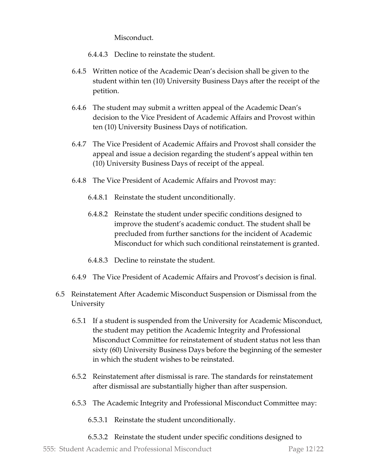Misconduct.

- 6.4.4.3 Decline to reinstate the student.
- 6.4.5 Written notice of the Academic Dean's decision shall be given to the student within ten (10) University Business Days after the receipt of the petition.
- 6.4.6 The student may submit a written appeal of the Academic Dean's decision to the Vice President of Academic Affairs and Provost within ten (10) University Business Days of notification.
- 6.4.7 The Vice President of Academic Affairs and Provost shall consider the appeal and issue a decision regarding the student's appeal within ten (10) University Business Days of receipt of the appeal.
- 6.4.8 The Vice President of Academic Affairs and Provost may:
	- 6.4.8.1 Reinstate the student unconditionally.
	- 6.4.8.2 Reinstate the student under specific conditions designed to improve the student's academic conduct. The student shall be precluded from further sanctions for the incident of Academic Misconduct for which such conditional reinstatement is granted.
	- 6.4.8.3 Decline to reinstate the student.
- 6.4.9 The Vice President of Academic Affairs and Provost's decision is final.
- 6.5 Reinstatement After Academic Misconduct Suspension or Dismissal from the University
	- 6.5.1 If a student is suspended from the University for Academic Misconduct, the student may petition the Academic Integrity and Professional Misconduct Committee for reinstatement of student status not less than sixty (60) University Business Days before the beginning of the semester in which the student wishes to be reinstated.
	- 6.5.2 Reinstatement after dismissal is rare. The standards for reinstatement after dismissal are substantially higher than after suspension.
	- 6.5.3 The Academic Integrity and Professional Misconduct Committee may:
		- 6.5.3.1 Reinstate the student unconditionally.
		- 6.5.3.2 Reinstate the student under specific conditions designed to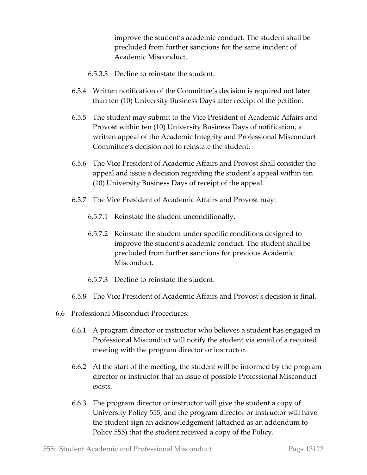improve the student's academic conduct. The student shall be precluded from further sanctions for the same incident of Academic Misconduct.

- 6.5.3.3 Decline to reinstate the student.
- 6.5.4 Written notification of the Committee's decision is required not later than ten (10) University Business Days after receipt of the petition.
- 6.5.5 The student may submit to the Vice President of Academic Affairs and Provost within ten (10) University Business Days of notification, a written appeal of the Academic Integrity and Professional Misconduct Committee's decision not to reinstate the student.
- 6.5.6 The Vice President of Academic Affairs and Provost shall consider the appeal and issue a decision regarding the student's appeal within ten (10) University Business Days of receipt of the appeal.
- 6.5.7 The Vice President of Academic Affairs and Provost may:
	- 6.5.7.1 Reinstate the student unconditionally.
	- 6.5.7.2 Reinstate the student under specific conditions designed to improve the student's academic conduct. The student shall be precluded from further sanctions for previous Academic Misconduct.
	- 6.5.7.3 Decline to reinstate the student.
- 6.5.8 The Vice President of Academic Affairs and Provost's decision is final.
- 6.6 Professional Misconduct Procedures:
	- 6.6.1 A program director or instructor who believes a student has engaged in Professional Misconduct will notify the student via email of a required meeting with the program director or instructor.
	- 6.6.2 At the start of the meeting, the student will be informed by the program director or instructor that an issue of possible Professional Misconduct exists.
	- 6.6.3 The program director or instructor will give the student a copy of University Policy 555, and the program director or instructor will have the student sign an acknowledgement (attached as an addendum to Policy 555) that the student received a copy of the Policy.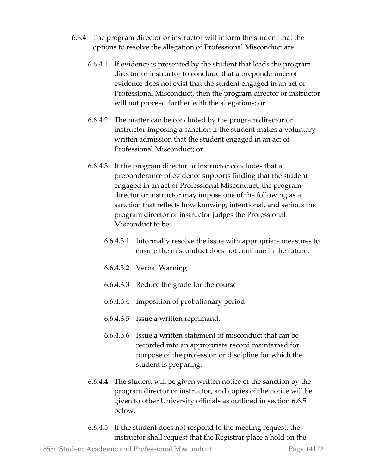- 6.6.4 The program director or instructor will inform the student that the options to resolve the allegation of Professional Misconduct are:
	- 6.6.4.1 If evidence is presented by the student that leads the program director or instructor to conclude that a preponderance of evidence does not exist that the student engaged in an act of Professional Misconduct, then the program director or instructor will not proceed further with the allegations; or
	- 6.6.4.2 The matter can be concluded by the program director or instructor imposing a sanction if the student makes a voluntary written admission that the student engaged in an act of Professional Misconduct; or
	- 6.6.4.3 If the program director or instructor concludes that a preponderance of evidence supports finding that the student engaged in an act of Professional Misconduct, the program director or instructor may impose one of the following as a sanction that reflects how knowing, intentional, and serious the program director or instructor judges the Professional Misconduct to be:
		- 6.6.4.3.1 Informally resolve the issue with appropriate measures to ensure the misconduct does not continue in the future.
		- 6.6.4.3.2 Verbal Warning
		- 6.6.4.3.3 Reduce the grade for the course
		- 6.6.4.3.4 Imposition of probationary period
		- 6.6.4.3.5 Issue a written reprimand.
		- 6.6.4.3.6 Issue a written statement of misconduct that can be recorded into an appropriate record maintained for purpose of the profession or discipline for which the student is preparing.
	- 6.6.4.4 The student will be given written notice of the sanction by the program director or instructor, and copies of the notice will be given to other University officials as outlined in section 6.6.5 below.
	- 6.6.4.5 If the student does not respond to the meeting request, the instructor shall request that the Registrar place a hold on the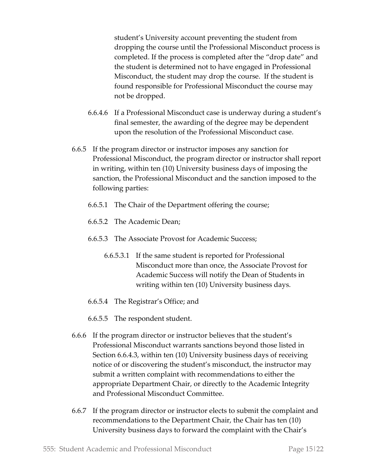student's University account preventing the student from dropping the course until the Professional Misconduct process is completed. If the process is completed after the "drop date" and the student is determined not to have engaged in Professional Misconduct, the student may drop the course. If the student is found responsible for Professional Misconduct the course may not be dropped.

- 6.6.4.6 If a Professional Misconduct case is underway during a student's final semester, the awarding of the degree may be dependent upon the resolution of the Professional Misconduct case.
- 6.6.5 If the program director or instructor imposes any sanction for Professional Misconduct, the program director or instructor shall report in writing, within ten (10) University business days of imposing the sanction, the Professional Misconduct and the sanction imposed to the following parties:
	- 6.6.5.1 The Chair of the Department offering the course;
	- 6.6.5.2 The Academic Dean;
	- 6.6.5.3 The Associate Provost for Academic Success;
		- 6.6.5.3.1 If the same student is reported for Professional Misconduct more than once, the Associate Provost for Academic Success will notify the Dean of Students in writing within ten (10) University business days.
	- 6.6.5.4 The Registrar's Office; and
	- 6.6.5.5 The respondent student.
- 6.6.6 If the program director or instructor believes that the student's Professional Misconduct warrants sanctions beyond those listed in Section 6.6.4.3, within ten (10) University business days of receiving notice of or discovering the student's misconduct, the instructor may submit a written complaint with recommendations to either the appropriate Department Chair, or directly to the Academic Integrity and Professional Misconduct Committee.
- 6.6.7 If the program director or instructor elects to submit the complaint and recommendations to the Department Chair, the Chair has ten (10) University business days to forward the complaint with the Chair's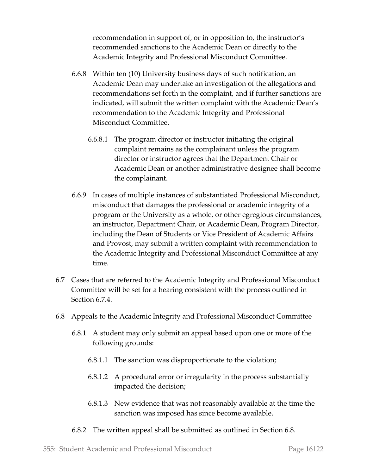recommendation in support of, or in opposition to, the instructor's recommended sanctions to the Academic Dean or directly to the Academic Integrity and Professional Misconduct Committee.

- 6.6.8 Within ten (10) University business days of such notification, an Academic Dean may undertake an investigation of the allegations and recommendations set forth in the complaint, and if further sanctions are indicated, will submit the written complaint with the Academic Dean's recommendation to the Academic Integrity and Professional Misconduct Committee.
	- 6.6.8.1 The program director or instructor initiating the original complaint remains as the complainant unless the program director or instructor agrees that the Department Chair or Academic Dean or another administrative designee shall become the complainant.
- 6.6.9 In cases of multiple instances of substantiated Professional Misconduct, misconduct that damages the professional or academic integrity of a program or the University as a whole, or other egregious circumstances, an instructor, Department Chair, or Academic Dean, Program Director, including the Dean of Students or Vice President of Academic Affairs and Provost, may submit a written complaint with recommendation to the Academic Integrity and Professional Misconduct Committee at any time.
- 6.7 Cases that are referred to the Academic Integrity and Professional Misconduct Committee will be set for a hearing consistent with the process outlined in Section 6.7.4.
- 6.8 Appeals to the Academic Integrity and Professional Misconduct Committee
	- 6.8.1 A student may only submit an appeal based upon one or more of the following grounds:
		- 6.8.1.1 The sanction was disproportionate to the violation;
		- 6.8.1.2 A procedural error or irregularity in the process substantially impacted the decision;
		- 6.8.1.3 New evidence that was not reasonably available at the time the sanction was imposed has since become available.
	- 6.8.2 The written appeal shall be submitted as outlined in Section 6.8.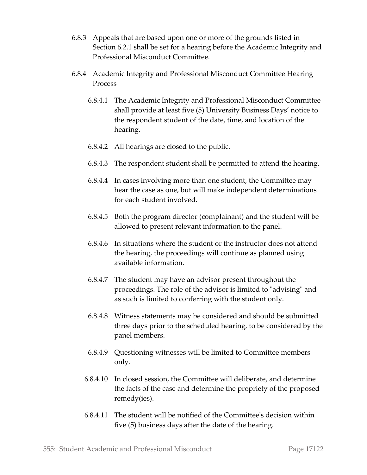- 6.8.3 Appeals that are based upon one or more of the grounds listed in Section 6.2.1 shall be set for a hearing before the Academic Integrity and Professional Misconduct Committee.
- 6.8.4 Academic Integrity and Professional Misconduct Committee Hearing Process
	- 6.8.4.1 The Academic Integrity and Professional Misconduct Committee shall provide at least five (5) University Business Days' notice to the respondent student of the date, time, and location of the hearing.
	- 6.8.4.2 All hearings are closed to the public.
	- 6.8.4.3 The respondent student shall be permitted to attend the hearing.
	- 6.8.4.4 In cases involving more than one student, the Committee may hear the case as one, but will make independent determinations for each student involved.
	- 6.8.4.5 Both the program director (complainant) and the student will be allowed to present relevant information to the panel.
	- 6.8.4.6 In situations where the student or the instructor does not attend the hearing, the proceedings will continue as planned using available information.
	- 6.8.4.7 The student may have an advisor present throughout the proceedings. The role of the advisor is limited to "advising" and as such is limited to conferring with the student only.
	- 6.8.4.8 Witness statements may be considered and should be submitted three days prior to the scheduled hearing, to be considered by the panel members.
	- 6.8.4.9 Questioning witnesses will be limited to Committee members only.
	- 6.8.4.10 In closed session, the Committee will deliberate, and determine the facts of the case and determine the propriety of the proposed remedy(ies).
	- 6.8.4.11 The student will be notified of the Committee's decision within five (5) business days after the date of the hearing.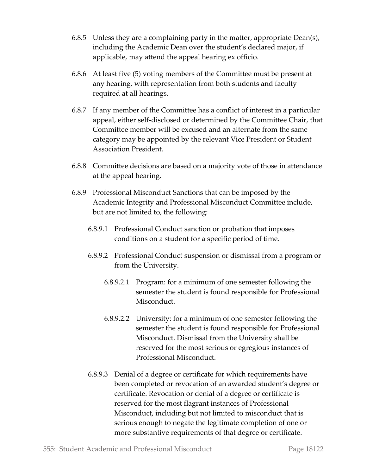- 6.8.5 Unless they are a complaining party in the matter, appropriate Dean(s), including the Academic Dean over the student's declared major, if applicable, may attend the appeal hearing ex officio.
- 6.8.6 At least five (5) voting members of the Committee must be present at any hearing, with representation from both students and faculty required at all hearings.
- 6.8.7 If any member of the Committee has a conflict of interest in a particular appeal, either self-disclosed or determined by the Committee Chair, that Committee member will be excused and an alternate from the same category may be appointed by the relevant Vice President or Student Association President.
- 6.8.8 Committee decisions are based on a majority vote of those in attendance at the appeal hearing.
- 6.8.9 Professional Misconduct Sanctions that can be imposed by the Academic Integrity and Professional Misconduct Committee include, but are not limited to, the following:
	- 6.8.9.1 Professional Conduct sanction or probation that imposes conditions on a student for a specific period of time.
	- 6.8.9.2 Professional Conduct suspension or dismissal from a program or from the University.
		- 6.8.9.2.1 Program: for a minimum of one semester following the semester the student is found responsible for Professional Misconduct.
		- 6.8.9.2.2 University: for a minimum of one semester following the semester the student is found responsible for Professional Misconduct. Dismissal from the University shall be reserved for the most serious or egregious instances of Professional Misconduct.
	- 6.8.9.3 Denial of a degree or certificate for which requirements have been completed or revocation of an awarded student's degree or certificate. Revocation or denial of a degree or certificate is reserved for the most flagrant instances of Professional Misconduct, including but not limited to misconduct that is serious enough to negate the legitimate completion of one or more substantive requirements of that degree or certificate.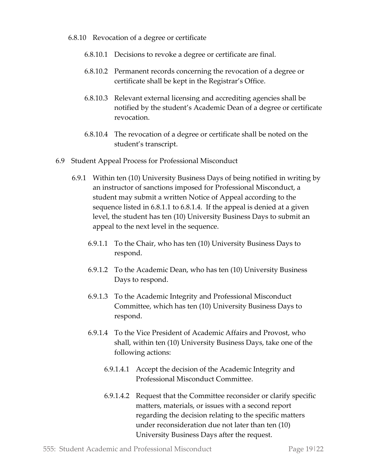- 6.8.10 Revocation of a degree or certificate
	- 6.8.10.1 Decisions to revoke a degree or certificate are final.
	- 6.8.10.2 Permanent records concerning the revocation of a degree or certificate shall be kept in the Registrar's Office.
	- 6.8.10.3 Relevant external licensing and accrediting agencies shall be notified by the student's Academic Dean of a degree or certificate revocation.
	- 6.8.10.4 The revocation of a degree or certificate shall be noted on the student's transcript.
- 6.9 Student Appeal Process for Professional Misconduct
	- 6.9.1 Within ten (10) University Business Days of being notified in writing by an instructor of sanctions imposed for Professional Misconduct, a student may submit a written Notice of Appeal according to the sequence listed in 6.8.1.1 to 6.8.1.4. If the appeal is denied at a given level, the student has ten (10) University Business Days to submit an appeal to the next level in the sequence.
		- 6.9.1.1 To the Chair, who has ten (10) University Business Days to respond.
		- 6.9.1.2 To the Academic Dean, who has ten (10) University Business Days to respond.
		- 6.9.1.3 To the Academic Integrity and Professional Misconduct Committee, which has ten (10) University Business Days to respond.
		- 6.9.1.4 To the Vice President of Academic Affairs and Provost, who shall, within ten (10) University Business Days, take one of the following actions:
			- 6.9.1.4.1 Accept the decision of the Academic Integrity and Professional Misconduct Committee.
			- 6.9.1.4.2 Request that the Committee reconsider or clarify specific matters, materials, or issues with a second report regarding the decision relating to the specific matters under reconsideration due not later than ten (10) University Business Days after the request.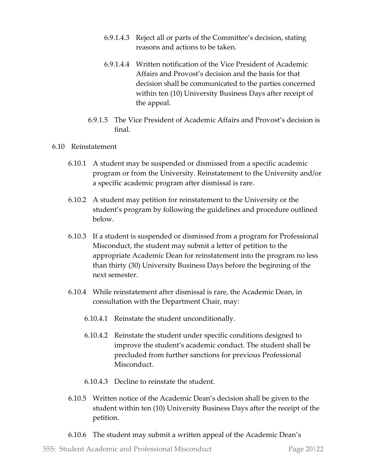- 6.9.1.4.3 Reject all or parts of the Committee's decision, stating reasons and actions to be taken.
- 6.9.1.4.4 Written notification of the Vice President of Academic Affairs and Provost's decision and the basis for that decision shall be communicated to the parties concerned within ten (10) University Business Days after receipt of the appeal.
- 6.9.1.5 The Vice President of Academic Affairs and Provost's decision is final.

#### 6.10 Reinstatement

- 6.10.1 A student may be suspended or dismissed from a specific academic program or from the University. Reinstatement to the University and/or a specific academic program after dismissal is rare.
- 6.10.2 A student may petition for reinstatement to the University or the student's program by following the guidelines and procedure outlined below.
- 6.10.3 If a student is suspended or dismissed from a program for Professional Misconduct, the student may submit a letter of petition to the appropriate Academic Dean for reinstatement into the program no less than thirty (30) University Business Days before the beginning of the next semester.
- 6.10.4 While reinstatement after dismissal is rare, the Academic Dean, in consultation with the Department Chair, may:
	- 6.10.4.1 Reinstate the student unconditionally.
	- 6.10.4.2 Reinstate the student under specific conditions designed to improve the student's academic conduct. The student shall be precluded from further sanctions for previous Professional Misconduct.
	- 6.10.4.3 Decline to reinstate the student.
- 6.10.5 Written notice of the Academic Dean's decision shall be given to the student within ten (10) University Business Days after the receipt of the petition.
- 6.10.6 The student may submit a written appeal of the Academic Dean's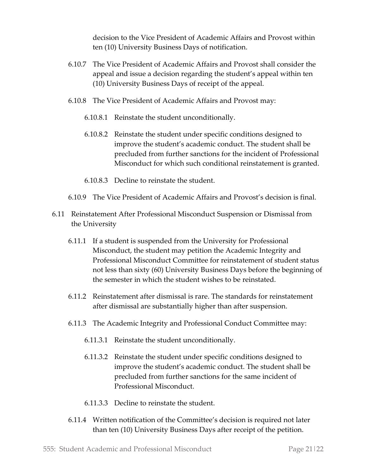decision to the Vice President of Academic Affairs and Provost within ten (10) University Business Days of notification.

- 6.10.7 The Vice President of Academic Affairs and Provost shall consider the appeal and issue a decision regarding the student's appeal within ten (10) University Business Days of receipt of the appeal.
- 6.10.8 The Vice President of Academic Affairs and Provost may:
	- 6.10.8.1 Reinstate the student unconditionally.
	- 6.10.8.2 Reinstate the student under specific conditions designed to improve the student's academic conduct. The student shall be precluded from further sanctions for the incident of Professional Misconduct for which such conditional reinstatement is granted.
	- 6.10.8.3 Decline to reinstate the student.
- 6.10.9 The Vice President of Academic Affairs and Provost's decision is final.
- 6.11 Reinstatement After Professional Misconduct Suspension or Dismissal from the University
	- 6.11.1 If a student is suspended from the University for Professional Misconduct, the student may petition the Academic Integrity and Professional Misconduct Committee for reinstatement of student status not less than sixty (60) University Business Days before the beginning of the semester in which the student wishes to be reinstated.
	- 6.11.2 Reinstatement after dismissal is rare. The standards for reinstatement after dismissal are substantially higher than after suspension.
	- 6.11.3 The Academic Integrity and Professional Conduct Committee may:
		- 6.11.3.1 Reinstate the student unconditionally.
		- 6.11.3.2 Reinstate the student under specific conditions designed to improve the student's academic conduct. The student shall be precluded from further sanctions for the same incident of Professional Misconduct.
		- 6.11.3.3 Decline to reinstate the student.
	- 6.11.4 Written notification of the Committee's decision is required not later than ten (10) University Business Days after receipt of the petition.